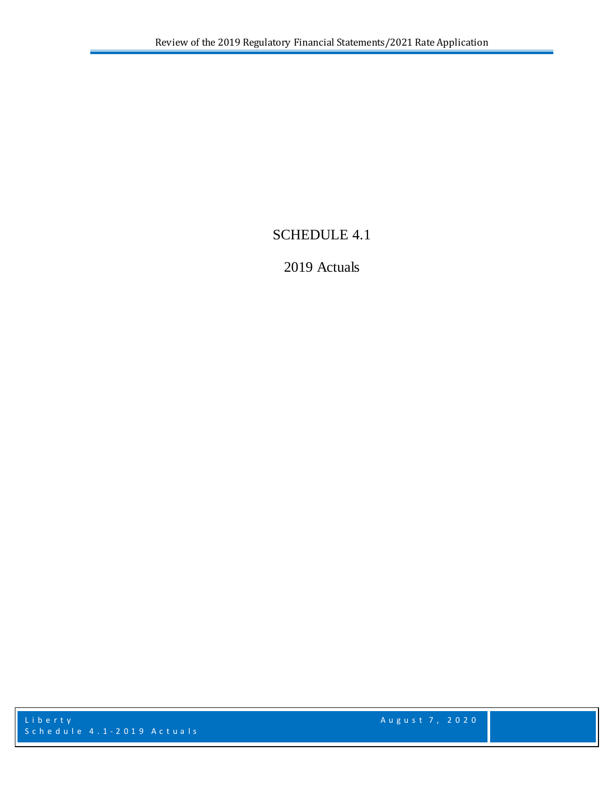# SCHEDULE 4.1

# 2019 Actuals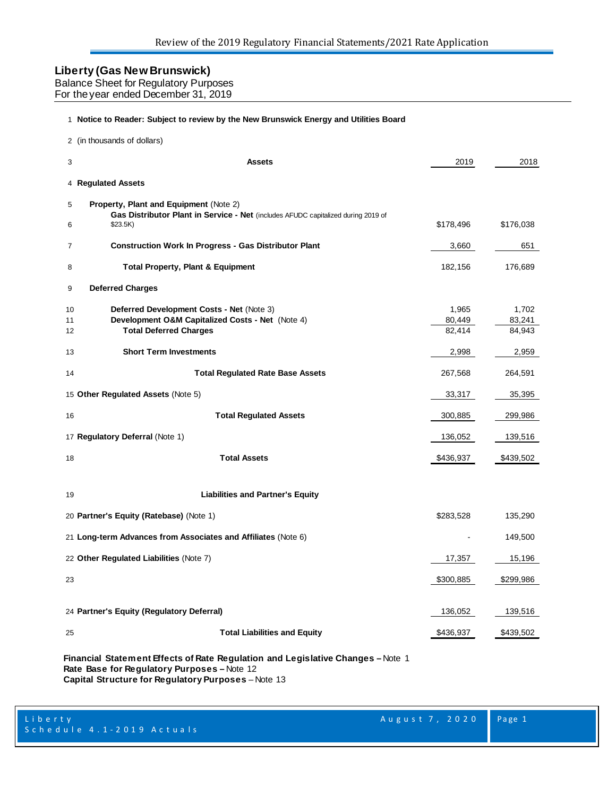| <b>Balance Sheet for Regulatory Purposes</b> |  |
|----------------------------------------------|--|
| For the year ended December 31, 2019         |  |

#### **Notice to Reader: Subject to review by the New Brunswick Energy and Utilities Board**

|                | 2 (in thousands of dollars)                                                                                                             |                           |                           |
|----------------|-----------------------------------------------------------------------------------------------------------------------------------------|---------------------------|---------------------------|
| 3              | Assets                                                                                                                                  | 2019                      | 2018                      |
|                | 4 Regulated Assets                                                                                                                      |                           |                           |
| 5<br>6         | Property, Plant and Equipment (Note 2)<br>Gas Distributor Plant in Service - Net (includes AFUDC capitalized during 2019 of<br>\$23.5K) | \$178,496                 | \$176,038                 |
| 7              | <b>Construction Work In Progress - Gas Distributor Plant</b>                                                                            | 3,660                     | 651                       |
| 8              | <b>Total Property, Plant &amp; Equipment</b>                                                                                            | 182,156                   | 176,689                   |
| 9              | <b>Deferred Charges</b>                                                                                                                 |                           |                           |
| 10<br>11<br>12 | Deferred Development Costs - Net (Note 3)<br>Development O&M Capitalized Costs - Net (Note 4)<br><b>Total Deferred Charges</b>          | 1,965<br>80,449<br>82,414 | 1,702<br>83,241<br>84,943 |
| 13             | <b>Short Term Investments</b>                                                                                                           | 2,998                     | 2,959                     |
| 14             | <b>Total Regulated Rate Base Assets</b>                                                                                                 | 267,568                   | 264,591                   |
|                | 15 Other Regulated Assets (Note 5)                                                                                                      | 33,317                    | 35,395                    |
| 16             | <b>Total Regulated Assets</b>                                                                                                           | 300,885                   | 299,986                   |
|                | 17 Regulatory Deferral (Note 1)                                                                                                         | 136,052                   | 139,516                   |
| 18             | <b>Total Assets</b>                                                                                                                     | \$436,937                 | \$439,502                 |
| 19             | <b>Liabilities and Partner's Equity</b>                                                                                                 |                           |                           |
|                | 20 Partner's Equity (Ratebase) (Note 1)                                                                                                 | \$283,528                 | 135,290                   |
|                | 21 Long-term Advances from Associates and Affiliates (Note 6)                                                                           |                           | 149,500                   |
|                | 22 Other Regulated Liabilities (Note 7)                                                                                                 | 17,357                    | 15,196                    |
| 23             |                                                                                                                                         | \$300,885                 | \$299,986                 |
|                | 24 Partner's Equity (Regulatory Deferral)                                                                                               | 136,052                   | 139,516                   |
| 25             | <b>Total Liabilities and Equity</b>                                                                                                     | \$436,937                 | \$439,502                 |
|                |                                                                                                                                         |                           |                           |

**Financial Statement Effects of Rate Regulation and Legislative Changes –** Note 1 **Rate Base for Regulatory Purposes –** Note 12 **Capital Structure for Regulatory Purposes** – Note 13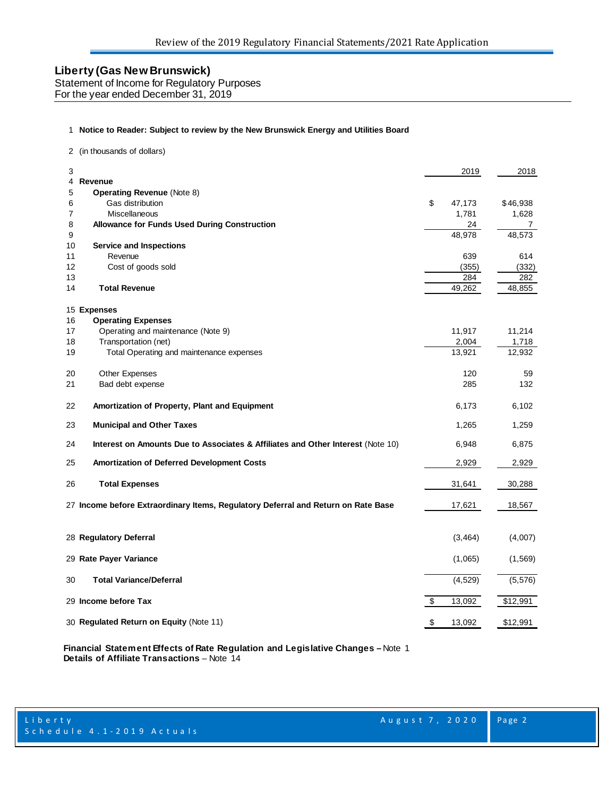Statement of Income for Regulatory Purposes

For the year ended December 31, 2019

#### **Notice to Reader: Subject to review by the New Brunswick Energy and Utilities Board**

(in thousands of dollars)

| 3        |                                                                                   |                           | 2019         | 2018          |
|----------|-----------------------------------------------------------------------------------|---------------------------|--------------|---------------|
| 4        | Revenue                                                                           |                           |              |               |
| 5        | <b>Operating Revenue (Note 8)</b>                                                 |                           |              |               |
| 6        | Gas distribution                                                                  | \$                        | 47,173       | \$46,938      |
| 7        | Miscellaneous                                                                     |                           | 1,781        | 1,628         |
| 8        | <b>Allowance for Funds Used During Construction</b>                               |                           | 24           | 7             |
| 9        |                                                                                   |                           | 48,978       | 48,573        |
| 10       | <b>Service and Inspections</b>                                                    |                           |              |               |
| 11<br>12 | Revenue                                                                           |                           | 639          | 614           |
| 13       | Cost of goods sold                                                                |                           | (355)<br>284 | (332)         |
| 14       | <b>Total Revenue</b>                                                              |                           | 49,262       | 282<br>48,855 |
|          | 15 Expenses                                                                       |                           |              |               |
| 16       | <b>Operating Expenses</b>                                                         |                           |              |               |
| 17       | Operating and maintenance (Note 9)                                                |                           | 11,917       | 11,214        |
| 18       | Transportation (net)                                                              |                           | 2,004        | 1,718         |
| 19       | Total Operating and maintenance expenses                                          |                           | 13,921       | 12,932        |
| 20       | Other Expenses                                                                    |                           | 120          | 59            |
| 21       | Bad debt expense                                                                  |                           | 285          | 132           |
| 22       | Amortization of Property, Plant and Equipment                                     |                           | 6,173        | 6,102         |
| 23       | <b>Municipal and Other Taxes</b>                                                  |                           | 1,265        | 1,259         |
| 24       | Interest on Amounts Due to Associates & Affiliates and Other Interest (Note 10)   |                           | 6,948        | 6,875         |
| 25       | Amortization of Deferred Development Costs                                        |                           | 2,929        | 2,929         |
| 26       | <b>Total Expenses</b>                                                             |                           | 31,641       | 30,288        |
|          | 27 Income before Extraordinary Items, Regulatory Deferral and Return on Rate Base |                           | 17,621       | 18,567        |
|          | 28 Regulatory Deferral                                                            |                           | (3, 464)     | (4,007)       |
|          | 29 Rate Payer Variance                                                            |                           | (1,065)      | (1, 569)      |
| 30       | <b>Total Variance/Deferral</b>                                                    |                           | (4, 529)     | (5, 576)      |
|          | 29 Income before Tax                                                              | $\boldsymbol{\mathsf{S}}$ | 13,092       | \$12,991      |
|          | 30 Regulated Return on Equity (Note 11)                                           | $\sqrt{3}$                | 13,092       | \$12,991      |

**Financial Statement Effects of Rate Regulation and Legislative Changes –** Note 1 **Details of Affiliate Transactions** – Note 14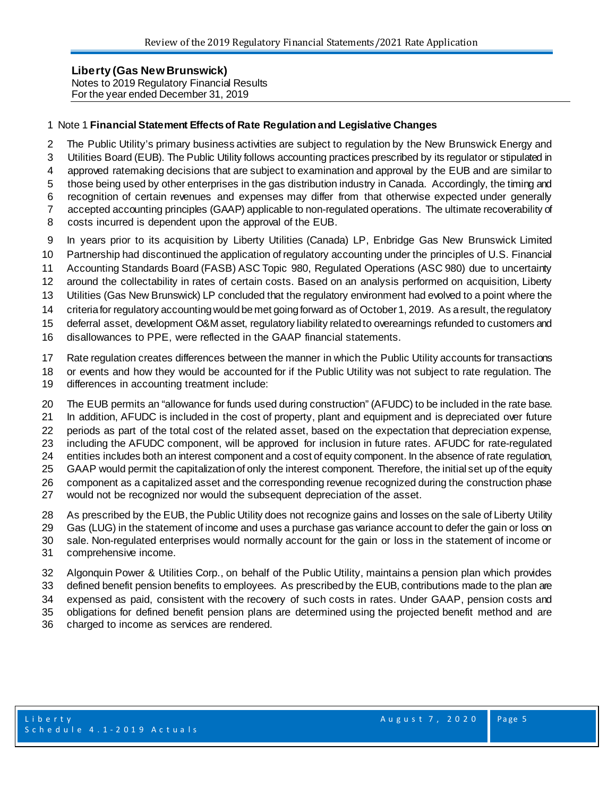**Liberty (Gas New Brunswick)**  Notes to 2019 Regulatory Financial Results For the year ended December 31, 2019

#### Note 1 **Financial Statement Effects of Rate Regulation and Legislative Changes**

- The Public Utility's primary business activities are subject to regulation by the New Brunswick Energy and Utilities Board (EUB). The Public Utility follows accounting practices prescribed by its regulator or stipulated in approved ratemaking decisions that are subject to examination and approval by the EUB and are similar to those being used by other enterprises in the gas distribution industry in Canada. Accordingly, the timing and recognition of certain revenues and expenses may differ from that otherwise expected under generally accepted accounting principles (GAAP) applicable to non-regulated operations. The ultimate recoverability of
- costs incurred is dependent upon the approval of the EUB.
- In years prior to its acquisition by Liberty Utilities (Canada) LP, Enbridge Gas New Brunswick Limited
- Partnership had discontinued the application of regulatory accounting under the principles of U.S. Financial
- Accounting Standards Board (FASB) ASC Topic 980, Regulated Operations (ASC 980) due to uncertainty
- around the collectability in rates of certain costs. Based on an analysis performed on acquisition, Liberty
- Utilities (Gas New Brunswick) LP concluded that the regulatory environment had evolved to a point where the
- criteria for regulatory accounting would be met going forward as of October 1, 2019. As a result, the regulatory
- deferral asset, development O&M asset, regulatory liability related to overearnings refunded to customers and
- disallowances to PPE, were reflected in the GAAP financial statements.
- Rate regulation creates differences between the manner in which the Public Utility accounts for transactions
- or events and how they would be accounted for if the Public Utility was not subject to rate regulation. The
- differences in accounting treatment include:
- The EUB permits an "allowance for funds used during construction" (AFUDC) to be included in the rate base. In addition, AFUDC is included in the cost of property, plant and equipment and is depreciated over future periods as part of the total cost of the related asset, based on the expectation that depreciation expense, including the AFUDC component, will be approved for inclusion in future rates. AFUDC for rate-regulated entities includes both an interest component and a cost of equity component. In the absence of rate regulation, GAAP would permit the capitalization of only the interest component. Therefore, the initial set up of the equity component as a capitalized asset and the corresponding revenue recognized during the construction phase would not be recognized nor would the subsequent depreciation of the asset.
- As prescribed by the EUB, the Public Utility does not recognize gains and losses on the sale of Liberty Utility
- Gas (LUG) in the statement of income and uses a purchase gas variance account to defer the gain or loss on
- sale. Non-regulated enterprises would normally account for the gain or loss in the statement of income or
- comprehensive income.
- Algonquin Power & Utilities Corp., on behalf of the Public Utility, maintains a pension plan which provides
- defined benefit pension benefits to employees. As prescribed by the EUB, contributions made to the plan are expensed as paid, consistent with the recovery of such costs in rates. Under GAAP, pension costs and
- obligations for defined benefit pension plans are determined using the projected benefit method and are
- charged to income as services are rendered.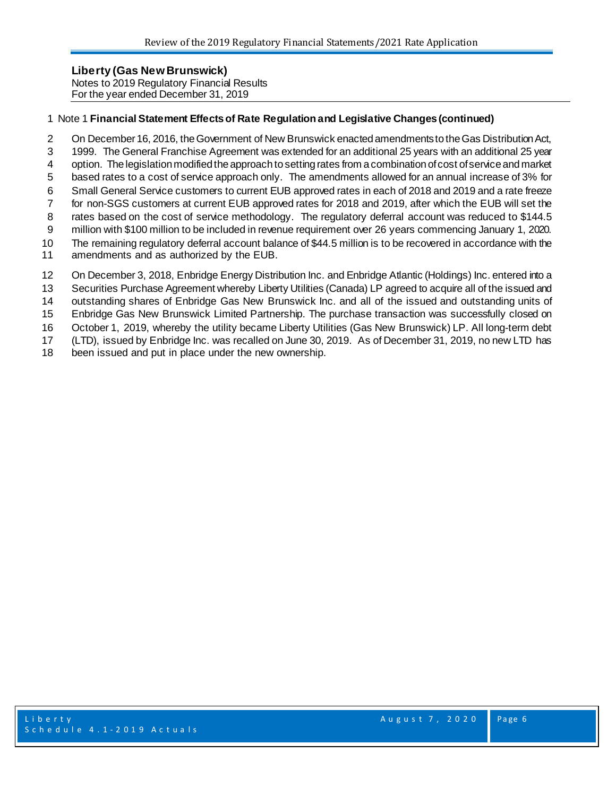**Liberty (Gas New Brunswick)**  Notes to 2019 Regulatory Financial Results For the year ended December 31, 2019

#### Note 1 **Financial Statement Effects of Rate Regulation and Legislative Changes (continued)**

- 2 On December 16, 2016, the Government of New Brunswick enacted amendments to the Gas Distribution Act,
- 1999. The General Franchise Agreement was extended for an additional 25 years with an additional 25 year
- option. The legislation modified the approach to setting rates from a combination of cost of service and market
- based rates to a cost of service approach only. The amendments allowed for an annual increase of 3% for
- Small General Service customers to current EUB approved rates in each of 2018 and 2019 and a rate freeze
- for non-SGS customers at current EUB approved rates for 2018 and 2019, after which the EUB will set the 8 rates based on the cost of service methodology. The regulatory deferral account was reduced to \$144.5
- million with \$100 million to be included in revenue requirement over 26 years commencing January 1, 2020.
- The remaining regulatory deferral account balance of \$44.5 million is to be recovered in accordance with the
- amendments and as authorized by the EUB.
- On December 3, 2018, Enbridge Energy Distribution Inc. and Enbridge Atlantic (Holdings) Inc. entered into a
- Securities Purchase Agreement whereby Liberty Utilities (Canada) LP agreed to acquire all of the issued and
- outstanding shares of Enbridge Gas New Brunswick Inc. and all of the issued and outstanding units of
- Enbridge Gas New Brunswick Limited Partnership. The purchase transaction was successfully closed on
- October 1, 2019, whereby the utility became Liberty Utilities (Gas New Brunswick) LP. All long-term debt
- (LTD), issued by Enbridge Inc. was recalled on June 30, 2019. As of December 31, 2019, no new LTD has
- been issued and put in place under the new ownership.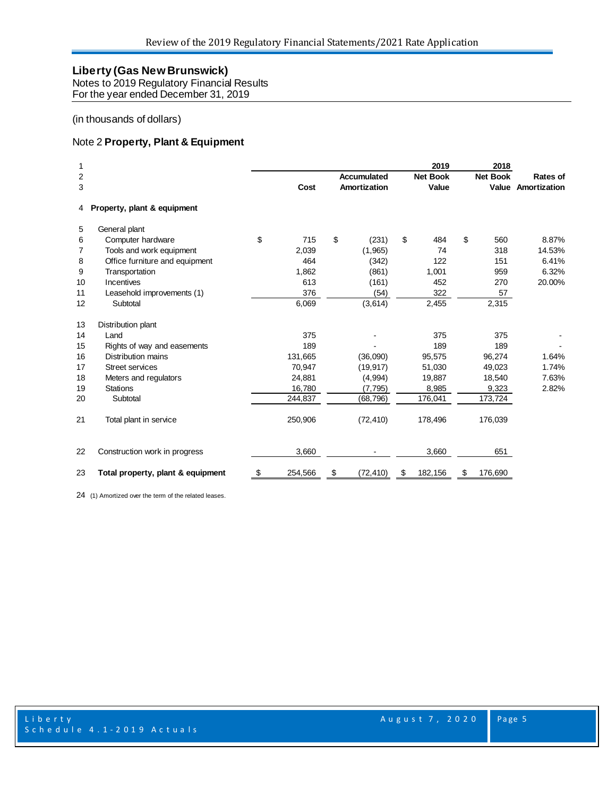Notes to 2019 Regulatory Financial Results For the year ended December 31, 2019

#### (in thousands of dollars)

#### Note 2 **Property, Plant & Equipment**

| 1<br>2<br>3 | Accumulated<br>Amortization<br>Cost |    |         |    | 2019<br><b>Net Book</b><br>Value |               | 2018<br><b>Net Book</b> | Rates of<br><b>Value Amortization</b> |        |
|-------------|-------------------------------------|----|---------|----|----------------------------------|---------------|-------------------------|---------------------------------------|--------|
| 4           | Property, plant & equipment         |    |         |    |                                  |               |                         |                                       |        |
| 5           | General plant                       |    |         |    |                                  |               |                         |                                       |        |
| 6           | Computer hardware                   | \$ | 715     | \$ | (231)                            | \$<br>484     | \$                      | 560                                   | 8.87%  |
| 7           | Tools and work equipment            |    | 2,039   |    | (1,965)                          | 74            |                         | 318                                   | 14.53% |
| 8           | Office furniture and equipment      |    | 464     |    | (342)                            | 122           |                         | 151                                   | 6.41%  |
| 9           | Transportation                      |    | 1,862   |    | (861)                            | 1,001         |                         | 959                                   | 6.32%  |
| 10          | Incentives                          |    | 613     |    | (161)                            | 452           |                         | 270                                   | 20.00% |
| 11          | Leasehold improvements (1)          |    | 376     |    | (54)                             | 322           |                         | 57                                    |        |
| 12          | Subtotal                            |    | 6,069   |    | (3,614)                          | 2,455         |                         | 2,315                                 |        |
| 13          | Distribution plant                  |    |         |    |                                  |               |                         |                                       |        |
| 14          | Land                                |    | 375     |    |                                  | 375           |                         | 375                                   |        |
| 15          | Rights of way and easements         |    | 189     |    |                                  | 189           |                         | 189                                   |        |
| 16          | Distribution mains                  |    | 131,665 |    | (36,090)                         | 95,575        |                         | 96,274                                | 1.64%  |
| 17          | <b>Street services</b>              |    | 70,947  |    | (19, 917)                        | 51,030        |                         | 49,023                                | 1.74%  |
| 18          | Meters and regulators               |    | 24,881  |    | (4,994)                          | 19,887        |                         | 18,540                                | 7.63%  |
| 19          | <b>Stations</b>                     |    | 16,780  |    | (7, 795)                         | 8,985         |                         | 9,323                                 | 2.82%  |
| 20          | Subtotal                            |    | 244,837 |    | (68, 796)                        | 176,041       |                         | 173,724                               |        |
| 21          | Total plant in service              |    | 250,906 |    | (72, 410)                        | 178,496       |                         | 176,039                               |        |
| 22          | Construction work in progress       |    | 3,660   |    |                                  | 3,660         |                         | 651                                   |        |
| 23          | Total property, plant & equipment   | S  | 254,566 | \$ | (72, 410)                        | \$<br>182,156 | \$                      | 176,690                               |        |

(1) Amortized over the term of the related leases.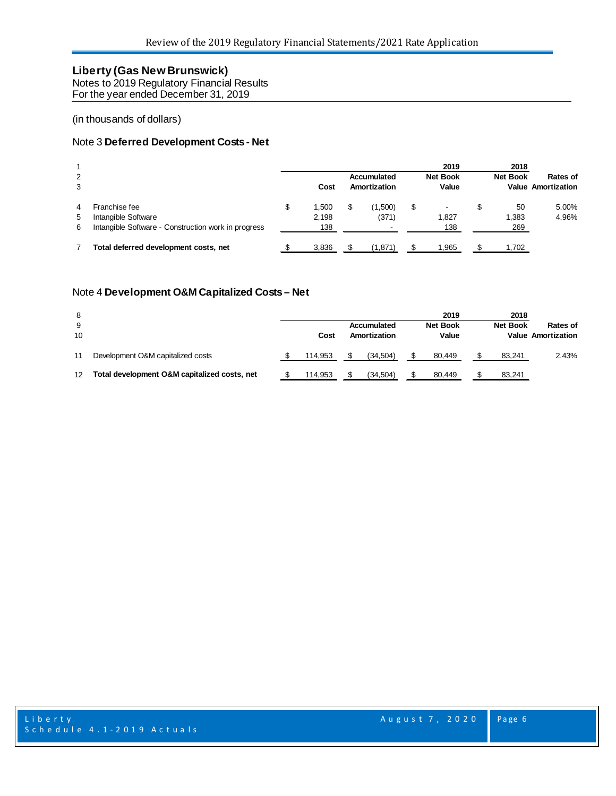Notes to 2019 Regulatory Financial Results For the year ended December 31, 2019

#### (in thousands of dollars)

#### Note 3 **Deferred Development Costs - Net**

| 2<br>3      |                                                                                             |   | Cost                  | Accumulated<br>Amortization | 2019<br><b>Net Book</b><br>Value |   | 2018<br><b>Net Book</b> | Rates of<br><b>Value Amortization</b> |
|-------------|---------------------------------------------------------------------------------------------|---|-----------------------|-----------------------------|----------------------------------|---|-------------------------|---------------------------------------|
| 4<br>5<br>6 | Franchise fee<br>Intangible Software<br>Intangible Software - Construction work in progress | S | 1.500<br>2,198<br>138 | (1,500)<br>(371)            | \$<br>1.827<br>138               | S | 50<br>1,383<br>269      | 5.00%<br>4.96%                        |
|             | Total deferred development costs, net                                                       |   | 3,836                 | (1,871)                     | .965                             |   | 1,702                   |                                       |

#### Note 4 **Development O&M Capitalized Costs – Net**

| 8                 |                                              |         |              | 2019            | 2018            |                           |
|-------------------|----------------------------------------------|---------|--------------|-----------------|-----------------|---------------------------|
| 9                 |                                              |         | Accumulated  | <b>Net Book</b> | <b>Net Book</b> | <b>Rates of</b>           |
| 10                |                                              | Cost    | Amortization | Value           |                 | <b>Value Amortization</b> |
| 11                | Development O&M capitalized costs            | 114.953 | (34.504)     | 80.449          | 83.241          | 2.43%                     |
| $12 \overline{ }$ | Total development O&M capitalized costs, net | 114.953 | (34.504)     | 80.449          | 83.241          |                           |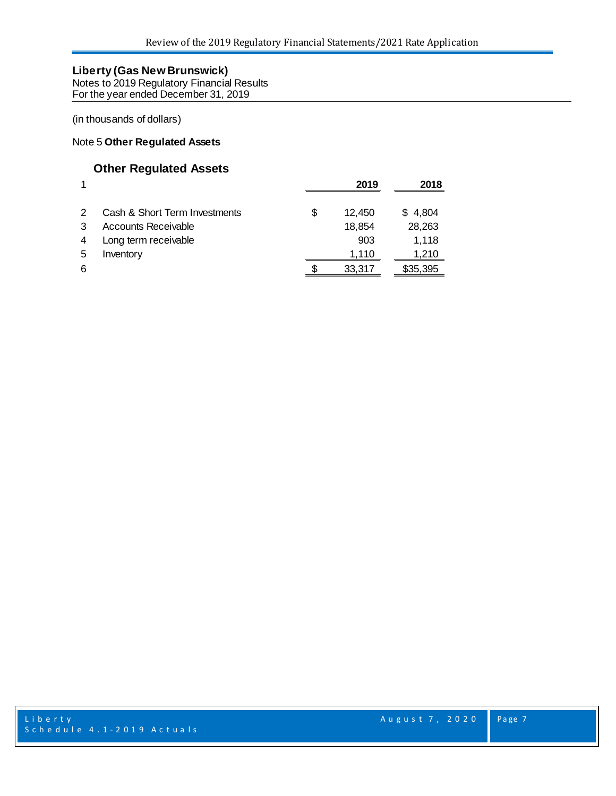Notes to 2019 Regulatory Financial Results For the year ended December 31, 2019

(in thousands of dollars)

#### Note 5 **Other Regulated Assets**

## **Other Regulated Assets**

|   |                               |   | 2019   | 2018     |
|---|-------------------------------|---|--------|----------|
|   | Cash & Short Term Investments | S | 12.450 | \$4,804  |
|   | <b>Accounts Receivable</b>    |   | 18,854 | 28,263   |
| 4 | Long term receivable          |   | 903    | 1,118    |
| 5 | Inventory                     |   | 1,110  | 1,210    |
| 6 |                               |   | 33.317 | \$35,395 |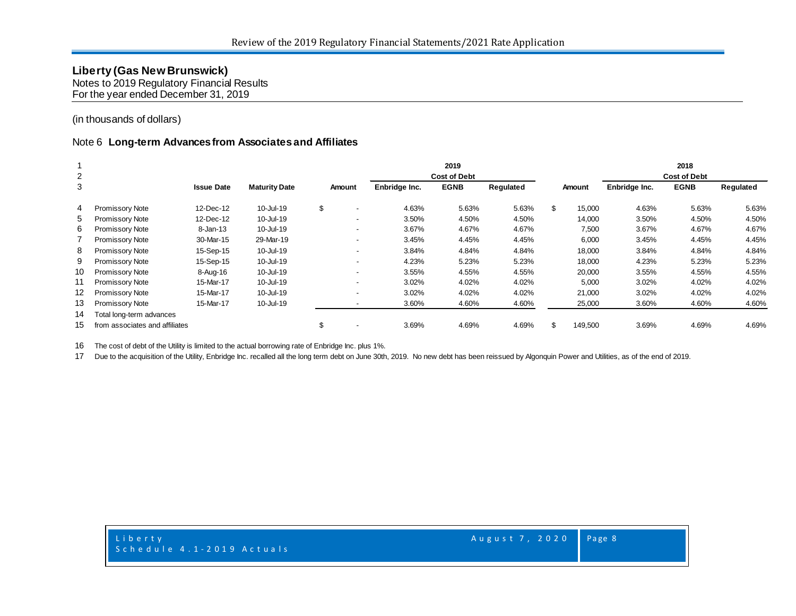Notes to 2019 Regulatory Financial Results For the year ended December 31, 2019

#### (in thousands of dollars)

#### Note 6 **Long-term Advances from Associates and Affiliates**

| 2  |                                |                   |                      |                                |               | 2019<br><b>Cost of Debt</b> |           |               |               | 2018<br><b>Cost of Debt</b> |           |
|----|--------------------------------|-------------------|----------------------|--------------------------------|---------------|-----------------------------|-----------|---------------|---------------|-----------------------------|-----------|
| 3  |                                | <b>Issue Date</b> | <b>Maturity Date</b> | Amount                         | Enbridge Inc. | <b>EGNB</b>                 | Regulated | <b>Amount</b> | Enbridge Inc. | <b>EGNB</b>                 | Regulated |
| 4  | <b>Promissory Note</b>         | 12-Dec-12         | 10-Jul-19            | \$<br>$\overline{\phantom{a}}$ | 4.63%         | 5.63%                       | 5.63%     | \$<br>15,000  | 4.63%         | 5.63%                       | 5.63%     |
| 5  | <b>Promissory Note</b>         | 12-Dec-12         | 10-Jul-19            | $\overline{\phantom{0}}$       | 3.50%         | 4.50%                       | 4.50%     | 14,000        | 3.50%         | 4.50%                       | 4.50%     |
| 6  | <b>Promissory Note</b>         | 8-Jan-13          | 10-Jul-19            | $\overline{\phantom{a}}$       | 3.67%         | 4.67%                       | 4.67%     | 7,500         | 3.67%         | 4.67%                       | 4.67%     |
|    | <b>Promissory Note</b>         | 30-Mar-15         | 29-Mar-19            | $\overline{\phantom{0}}$       | 3.45%         | 4.45%                       | 4.45%     | 6,000         | 3.45%         | 4.45%                       | 4.45%     |
| 8  | Promissory Note                | 15-Sep-15         | 10-Jul-19            | $\overline{\phantom{a}}$       | 3.84%         | 4.84%                       | 4.84%     | 18,000        | 3.84%         | 4.84%                       | 4.84%     |
| 9  | <b>Promissory Note</b>         | 15-Sep-15         | 10-Jul-19            | $\overline{\phantom{a}}$       | 4.23%         | 5.23%                       | 5.23%     | 18,000        | 4.23%         | 5.23%                       | 5.23%     |
| 10 | <b>Promissory Note</b>         | 8-Aug-16          | 10-Jul-19            | $\overline{\phantom{a}}$       | 3.55%         | 4.55%                       | 4.55%     | 20,000        | 3.55%         | 4.55%                       | 4.55%     |
|    | <b>Promissory Note</b>         | 15-Mar-17         | 10-Jul-19            | $\overline{\phantom{a}}$       | 3.02%         | 4.02%                       | 4.02%     | 5,000         | 3.02%         | 4.02%                       | 4.02%     |
| 12 | <b>Promissory Note</b>         | 15-Mar-17         | 10-Jul-19            | $\overline{\phantom{a}}$       | 3.02%         | 4.02%                       | 4.02%     | 21,000        | 3.02%         | 4.02%                       | 4.02%     |
| 13 | <b>Promissory Note</b>         | 15-Mar-17         | 10-Jul-19            |                                | 3.60%         | 4.60%                       | 4.60%     | 25,000        | 3.60%         | 4.60%                       | 4.60%     |
| 14 | Total long-term advances       |                   |                      |                                |               |                             |           |               |               |                             |           |
| 15 | from associates and affiliates |                   |                      | \$                             | 3.69%         | 4.69%                       | 4.69%     | 149,500       | 3.69%         | 4.69%                       | 4.69%     |

The cost of debt of the Utility is limited to the actual borrowing rate of Enbridge Inc. plus 1%.

Due to the acquisition of the Utility, Enbridge Inc. recalled all the long term debt on June 30th, 2019. No new debt has been reissued by Algonquin Power and Utilities, as of the end of 2019.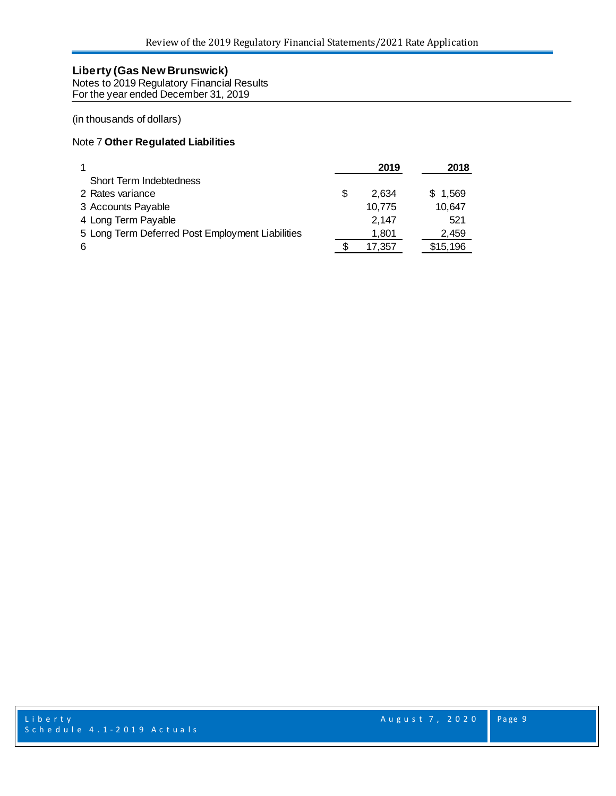Notes to 2019 Regulatory Financial Results For the year ended December 31, 2019

(in thousands of dollars)

## Note 7 **Other Regulated Liabilities**

|                                                  | 2019        | 2018     |
|--------------------------------------------------|-------------|----------|
| Short Term Indebtedness                          |             |          |
| 2 Rates variance                                 | \$<br>2.634 | \$1,569  |
| 3 Accounts Payable                               | 10,775      | 10,647   |
| 4 Long Term Payable                              | 2.147       | 521      |
| 5 Long Term Deferred Post Employment Liabilities | 1,801       | 2,459    |
| 6                                                | 17,357      | \$15,196 |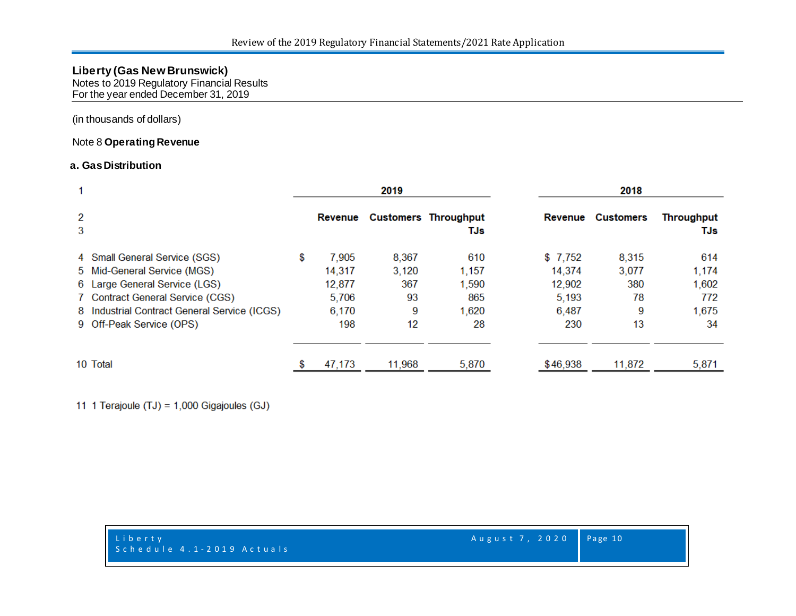Notes to 2019 Regulatory Financial Results For the year ended December 31, 2019

(in thousands of dollars)

#### Note 8 **Operating Revenue**

#### **a. GasDistribution**

| 1      |                                              | 2019        |        |                             |          | 2018             |                   |
|--------|----------------------------------------------|-------------|--------|-----------------------------|----------|------------------|-------------------|
| 2<br>3 |                                              | Revenue     |        | Customers Throughput<br>TJs | Revenue  | <b>Customers</b> | Throughput<br>TJs |
|        | 4 Small General Service (SGS)                | \$<br>7,905 | 8,367  | 610                         | \$7,752  | 8,315            | 614               |
|        | 5 Mid-General Service (MGS)                  | 14,317      | 3,120  | 1,157                       | 14,374   | 3,077            | 1,174             |
|        | 6 Large General Service (LGS)                | 12,877      | 367    | 1,590                       | 12,902   | 380              | 1,602             |
|        | 7 Contract General Service (CGS)             | 5,706       | 93     | 865                         | 5,193    | 78               | 772               |
|        | 8 Industrial Contract General Service (ICGS) | 6,170       | 9      | 1,620                       | 6,487    | 9                | 1,675             |
|        | 9 Off-Peak Service (OPS)                     | 198         | 12     | 28                          | 230      | 13               | 34                |
|        | 10 Total                                     | 47,173      | 11,968 | 5,870                       | \$46,938 | 11,872           | 5,871             |

11 1 Terajoule (TJ) = 1,000 Gigajoules (GJ)

| Liberty<br>Schedule 4.1-2019 Actuals | Augu |
|--------------------------------------|------|
|                                      |      |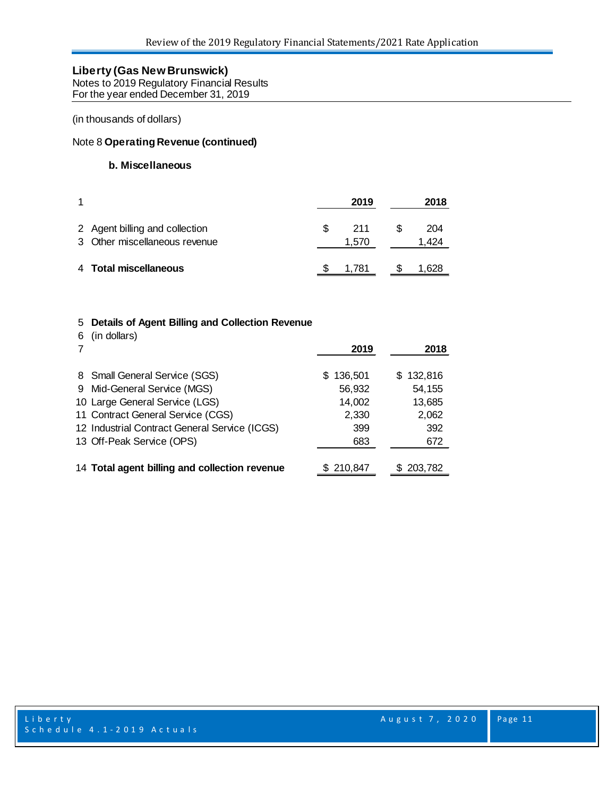Notes to 2019 Regulatory Financial Results For the year ended December 31, 2019

(in thousands of dollars)

#### Note 8 **Operating Revenue (continued)**

#### **b. Miscellaneous**

|                                                                 | 2019         | 2018         |
|-----------------------------------------------------------------|--------------|--------------|
| 2 Agent billing and collection<br>3 Other miscellaneous revenue | 211<br>1.570 | 204<br>1.424 |
| 4 Total miscellaneous                                           | 1.781        | 1.628        |

#### 5 **Details of Agent Billing and Collection Revenue**

6 (in dollars)

|                                               | 2019      | 2018      |
|-----------------------------------------------|-----------|-----------|
| 8 Small General Service (SGS)                 | \$136,501 | \$132,816 |
| 9 Mid-General Service (MGS)                   | 56,932    | 54,155    |
| 10 Large General Service (LGS)                | 14,002    | 13,685    |
| 11 Contract General Service (CGS)             | 2,330     | 2,062     |
| 12 Industrial Contract General Service (ICGS) | 399       | 392       |
| 13 Off-Peak Service (OPS)                     | 683       | 672       |
| 14 Total agent billing and collection revenue | \$210,847 | 203,782   |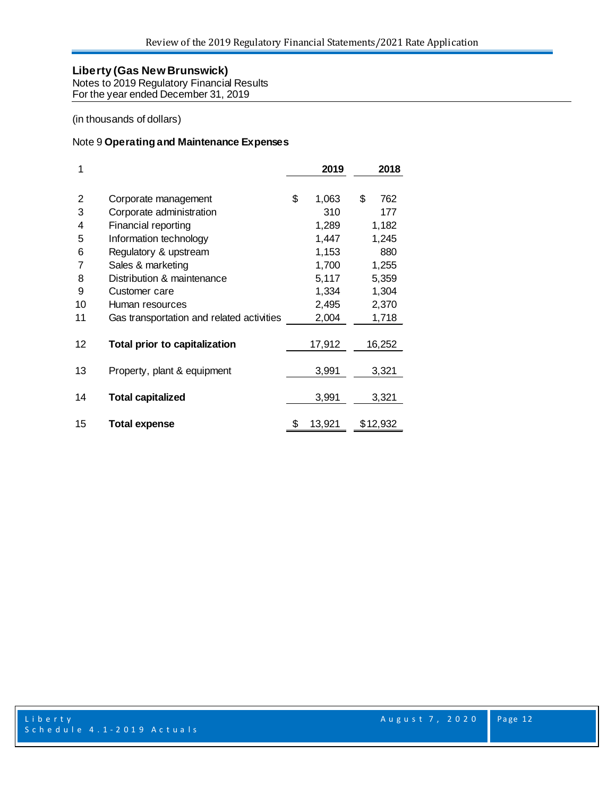Notes to 2019 Regulatory Financial Results For the year ended December 31, 2019

(in thousands of dollars)

## Note 9 **Operating and Maintenance Expenses**

| 1  |                                           | 2019         | 2018      |
|----|-------------------------------------------|--------------|-----------|
|    |                                           |              |           |
| 2  | Corporate management                      | \$<br>1,063  | \$<br>762 |
| 3  | Corporate administration                  | 310          | 177       |
| 4  | Financial reporting                       | 1,289        | 1,182     |
| 5  | Information technology                    | 1,447        | 1,245     |
| 6  | Regulatory & upstream                     | 1,153        | 880       |
| 7  | Sales & marketing                         | 1,700        | 1,255     |
| 8  | Distribution & maintenance                | 5,117        | 5,359     |
| 9  | Customer care                             | 1,334        | 1,304     |
| 10 | Human resources                           | 2,495        | 2,370     |
| 11 | Gas transportation and related activities | 2,004        | 1,718     |
|    |                                           |              |           |
| 12 | <b>Total prior to capitalization</b>      | 17,912       | 16,252    |
|    |                                           |              |           |
| 13 | Property, plant & equipment               | 3,991        | 3,321     |
|    |                                           |              |           |
| 14 | <b>Total capitalized</b>                  | 3,991        | 3,321     |
| 15 | <b>Total expense</b>                      | \$<br>13,921 | \$12,932  |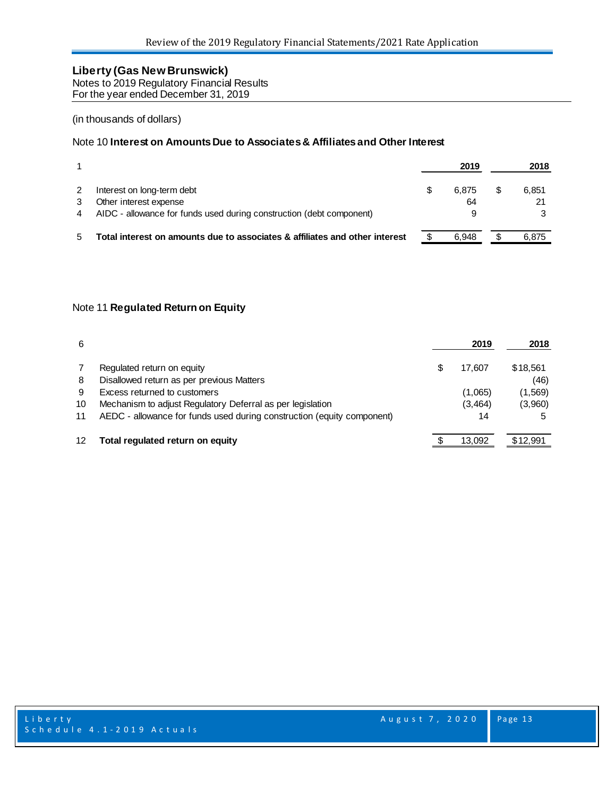Notes to 2019 Regulatory Financial Results For the year ended December 31, 2019

#### (in thousands of dollars)

#### Note 10 **Interest on Amounts Due to Associates & Affiliates and Other Interest**

|                                                                             | 2019  | 2018  |
|-----------------------------------------------------------------------------|-------|-------|
| Interest on long-term debt                                                  | 6.875 | 6.851 |
| Other interest expense                                                      | 64    |       |
| AIDC - allowance for funds used during construction (debt component)        | 9     |       |
| Total interest on amounts due to associates & affiliates and other interest | 6.948 | 6.875 |

#### Note 11 **Regulated Return on Equity**

| 6  |                                                                        | 2019     | 2018     |
|----|------------------------------------------------------------------------|----------|----------|
|    | Regulated return on equity                                             | 17.607   | \$18,561 |
| 8  | Disallowed return as per previous Matters                              |          | (46)     |
| 9  | Excess returned to customers                                           | (1,065)  | (1, 569) |
| 10 | Mechanism to adjust Regulatory Deferral as per legislation             | (3, 464) | (3,960)  |
| 11 | AEDC - allowance for funds used during construction (equity component) | 14       |          |
|    | Total regulated return on equity                                       | 13.092   | \$12,991 |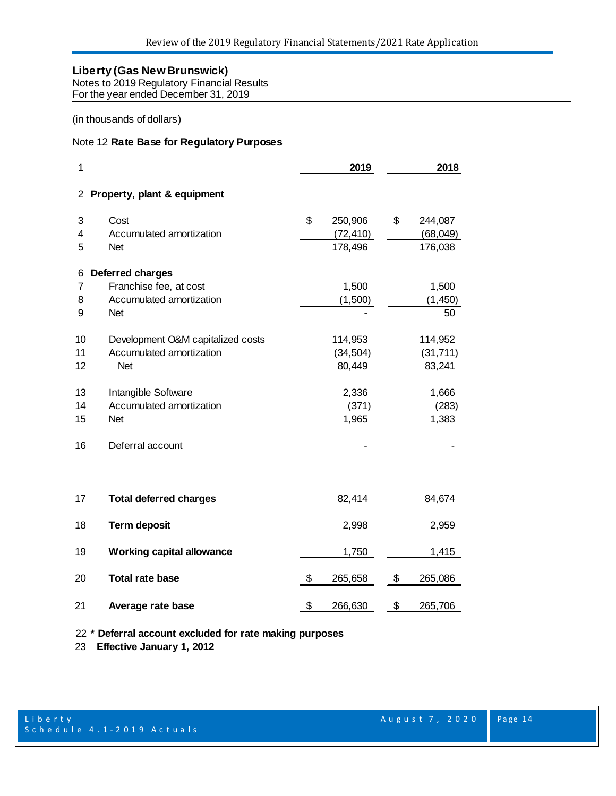Notes to 2019 Regulatory Financial Results For the year ended December 31, 2019

#### (in thousands of dollars)

#### Note 12 **Rate Base for Regulatory Purposes**

| 1                    |                                   | 2019          | 2018          |
|----------------------|-----------------------------------|---------------|---------------|
| $\mathbf{2}^{\circ}$ | Property, plant & equipment       |               |               |
| 3                    | Cost                              | \$<br>250,906 | \$<br>244,087 |
| 4                    | Accumulated amortization          | (72, 410)     | (68, 049)     |
| 5                    | <b>Net</b>                        | 178,496       | 176,038       |
| 6                    | Deferred charges                  |               |               |
| 7                    | Franchise fee, at cost            | 1,500         | 1,500         |
| 8                    | Accumulated amortization          | (1,500)       | (1, 450)      |
| 9                    | <b>Net</b>                        |               | 50            |
| 10                   | Development O&M capitalized costs | 114,953       | 114,952       |
| 11                   | Accumulated amortization          | (34, 504)     | (31, 711)     |
| 12                   | <b>Net</b>                        | 80,449        | 83,241        |
| 13                   | Intangible Software               | 2,336         | 1,666         |
| 14                   | Accumulated amortization          | (371)         | (283)         |
| 15                   | <b>Net</b>                        | 1,965         | 1,383         |
| 16                   | Deferral account                  |               |               |
|                      |                                   |               |               |
| 17                   | <b>Total deferred charges</b>     | 82,414        | 84,674        |
| 18                   | <b>Term deposit</b>               | 2,998         | 2,959         |
| 19                   | <b>Working capital allowance</b>  | 1,750         | 1,415         |
| 20                   | <b>Total rate base</b>            | \$<br>265,658 | \$<br>265,086 |
| 21                   | Average rate base                 | \$<br>266,630 | \$<br>265,706 |

**\* Deferral account excluded for rate making purposes**

 **Effective January 1, 2012**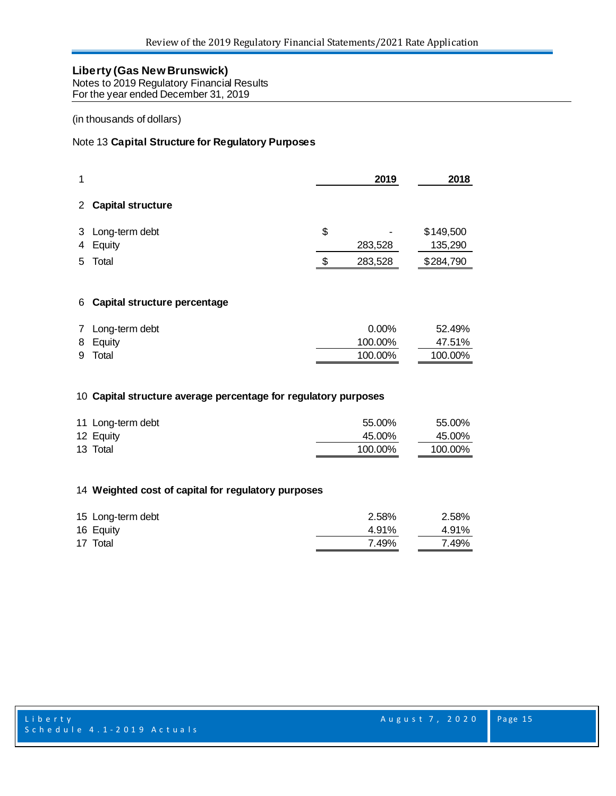Notes to 2019 Regulatory Financial Results For the year ended December 31, 2019

#### (in thousands of dollars)

#### Note 13 **Capital Structure for Regulatory Purposes**

| 1                    |                              | 2019             | 2018                 |
|----------------------|------------------------------|------------------|----------------------|
| $\mathbf{2}^{\circ}$ | <b>Capital structure</b>     |                  |                      |
| 3<br>4               | Long-term debt<br>Equity     | \$<br>283,528    | \$149,500<br>135,290 |
| 5.                   | Total                        | \$<br>283,528    | \$284,790            |
| 6                    | Capital structure percentage |                  |                      |
| 7<br>8               | Long-term debt<br>Equity     | 0.00%<br>100.00% | 52.49%<br>47.51%     |

## **Capital structure average percentage for regulatory purposes**

| 11 Long-term debt | 55.00%  | 55.00%  |
|-------------------|---------|---------|
| 12 Equity         | 45.00%  | 45.00%  |
| 13 Total          | 100.00% | 100.00% |

Total 100.00% 100.00%

#### **Weighted cost of capital for regulatory purposes**

| 15 Long-term debt | 2.58% | 2.58% |
|-------------------|-------|-------|
| 16 Equity         | 4.91% | 4.91% |
| 17 Total          | 7.49% | 7.49% |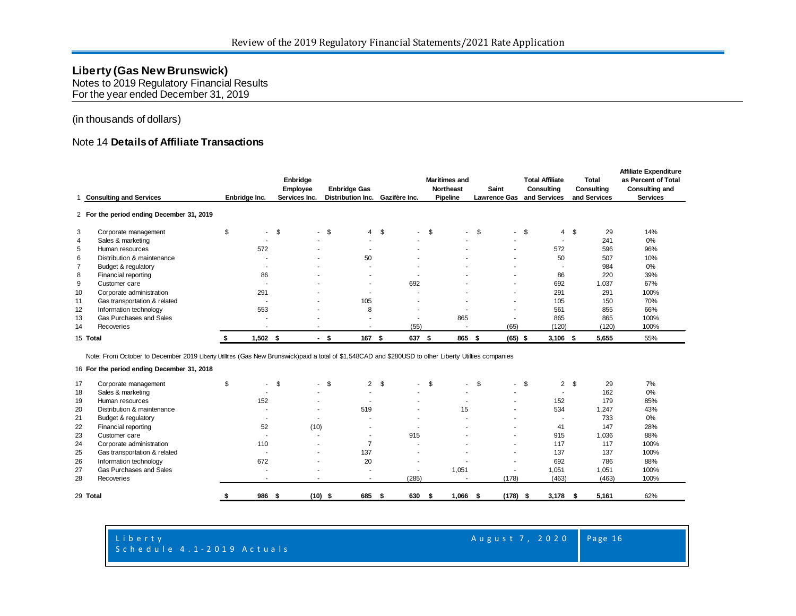Notes to 2019 Regulatory Financial Results For the year ended December 31, 2019

#### (in thousands of dollars)

#### Note 14 **Details of Affiliate Transactions**

|                | <b>Consulting and Services</b>                                                                                                                       | Enbridge Inc.            | Enbridge<br>Employee<br>Services Inc. | <b>Enbridge Gas</b><br><b>Distribution Inc.</b> | Gazifère Inc.                   | <b>Maritimes and</b><br><b>Northeast</b><br>Pipeline | Saint<br><b>Lawrence Gas</b> | <b>Total Affiliate</b><br>Consulting<br>and Services | <b>Total</b><br>Consulting<br>and Services | <b>Affiliate Expenditure</b><br>as Percent of Total<br><b>Consulting and</b><br><b>Services</b> |
|----------------|------------------------------------------------------------------------------------------------------------------------------------------------------|--------------------------|---------------------------------------|-------------------------------------------------|---------------------------------|------------------------------------------------------|------------------------------|------------------------------------------------------|--------------------------------------------|-------------------------------------------------------------------------------------------------|
|                | 2 For the period ending December 31, 2019                                                                                                            |                          |                                       |                                                 |                                 |                                                      |                              |                                                      |                                            |                                                                                                 |
| 3              | Corporate management                                                                                                                                 | \$                       | $-5$                                  | $-5$                                            | 4S                              | $-5$                                                 | $-$ \$                       | $-$ \$                                               | 4S<br>29                                   | 14%                                                                                             |
| 4              | Sales & marketing                                                                                                                                    | ۰                        | ۰.                                    |                                                 | ۰.<br>۰.                        |                                                      | ۰                            | $\overline{\phantom{a}}$                             | 241                                        | 0%                                                                                              |
| 5              | Human resources                                                                                                                                      | 572                      | $\sim$                                |                                                 | ۰.                              | . .                                                  | ٠                            | 572                                                  | 596                                        | 96%                                                                                             |
| 6              | Distribution & maintenance                                                                                                                           | ٠                        |                                       | 50                                              | ٠                               |                                                      | ٠                            | 50                                                   | 507                                        | 10%                                                                                             |
| $\overline{7}$ | Budget & regulatory                                                                                                                                  |                          | $\overline{\phantom{a}}$              |                                                 | ۰.<br>۰.                        | ۰.                                                   | ۰                            |                                                      | 984                                        | 0%                                                                                              |
| 8              | Financial reporting                                                                                                                                  | 86                       | $\overline{\phantom{a}}$              |                                                 | ٠<br>٠                          | ۰.                                                   | ٠                            | 86                                                   | 220                                        | 39%                                                                                             |
| 9              | Customer care                                                                                                                                        | $\overline{\phantom{a}}$ |                                       |                                                 | 692<br>$\overline{\phantom{a}}$ |                                                      | ٠                            | 692                                                  | 1,037                                      | 67%                                                                                             |
| 10             | Corporate administration                                                                                                                             | 291                      |                                       |                                                 | ۰.                              |                                                      | ۰                            | 291                                                  | 291                                        | 100%                                                                                            |
| 11             | Gas transportation & related                                                                                                                         | $\overline{\phantom{a}}$ |                                       | 105                                             |                                 |                                                      | ٠                            | 105                                                  | 150                                        | 70%                                                                                             |
| 12             | Information technology                                                                                                                               | 553                      |                                       |                                                 | 8<br>٠                          |                                                      | ٠                            | 561                                                  | 855                                        | 66%                                                                                             |
| 13             | Gas Purchases and Sales                                                                                                                              | ٠                        |                                       |                                                 | ۰                               | 865                                                  |                              | 865                                                  | 865                                        | 100%                                                                                            |
| 14             | Recoveries                                                                                                                                           |                          |                                       |                                                 | (55)                            |                                                      | (65)                         | (120)                                                | (120)                                      | 100%                                                                                            |
|                | 15 Total                                                                                                                                             | $1,502$ \$               |                                       | 167<br>\$                                       | 637<br>\$                       | 865<br>-S                                            | $(65)$ \$<br>- \$            | $3,106$ \$                                           | 5,655                                      | 55%                                                                                             |
|                | Note: From October to December 2019 Liberty Utilities (Gas New Brunswick)paid a total of \$1,548CAD and \$280USD to other Liberty Utilties companies |                          |                                       |                                                 |                                 |                                                      |                              |                                                      |                                            |                                                                                                 |
|                | 16 For the period ending December 31, 2018                                                                                                           |                          |                                       |                                                 |                                 |                                                      |                              |                                                      |                                            |                                                                                                 |

| 17       | Corporate management         | . .<br>ъ | $\sim$<br>ж.             | 2 <sup>5</sup>           | \$<br>. . | \$<br>$\sim$             | \$<br>н. | 2 <sup>5</sup> | 29    | 7%   |
|----------|------------------------------|----------|--------------------------|--------------------------|-----------|--------------------------|----------|----------------|-------|------|
| 18       | Sales & marketing            | <b>.</b> |                          |                          |           |                          |          |                | 162   | 0%   |
| 19       | Human resources              | 152      |                          | ۰.                       |           | $\overline{\phantom{a}}$ |          | 152            | 179   | 85%  |
| 20       | Distribution & maintenance   |          |                          | 519                      |           | 15                       |          | 534            | 1,247 | 43%  |
| 21       | Budget & regulatory          |          |                          | ۰.                       |           |                          |          |                | 733   | 0%   |
| 22       | Financial reporting          | 52       | (10)                     | ۰.                       |           |                          |          | 41             | 147   | 28%  |
| 23       | Customer care                |          |                          | ۰                        | 915       |                          |          | 915            | 1,036 | 88%  |
| 24       | Corporate administration     | 110      | $\overline{\phantom{a}}$ |                          |           |                          |          | 117            | 117   | 100% |
| 25       | Gas transportation & related |          | $\overline{\phantom{a}}$ | 137                      |           |                          |          | 137            | 137   | 100% |
| 26       | Information technology       | 672      |                          | 20                       |           |                          |          | 692            | 786   | 88%  |
| 27       | Gas Purchases and Sales      | . .      |                          | $\overline{\phantom{a}}$ |           | 1,051                    |          | 1,051          | 1,051 | 100% |
| 28       | Recoveries                   |          |                          |                          | (285)     |                          | (178)    | (463)          | (463) | 100% |
|          |                              |          |                          |                          |           |                          |          |                |       |      |
| 29 Total |                              | 986      | $(10)$ \$                | 685                      | 630       | 1,066                    | (178)    | 3,178          | 5,161 | 62%  |

#### Liberty **August 7, 2020** Schedule 4.1-2019 Actuals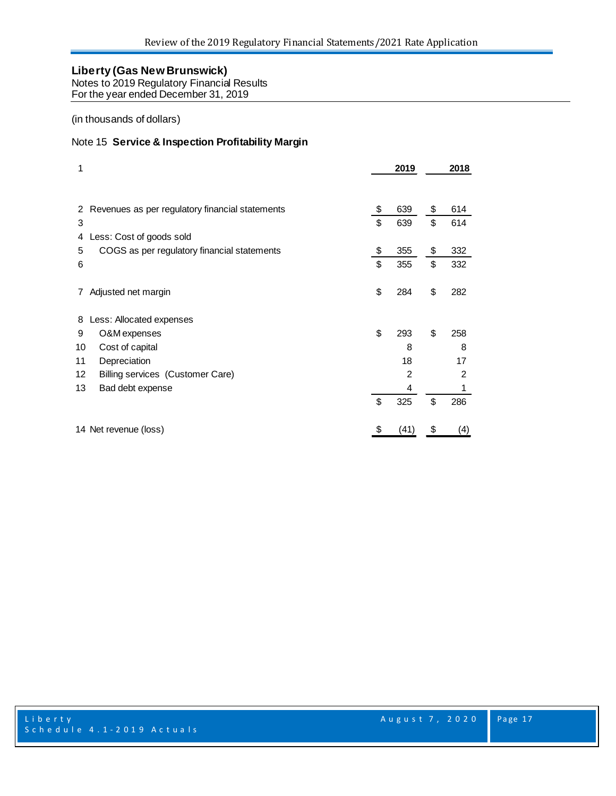Notes to 2019 Regulatory Financial Results

For the year ended December 31, 2019

(in thousands of dollars)

#### Note 15 **Service & Inspection Profitability Margin**

| 1          |                                                 | 2019       | 2018      |
|------------|-------------------------------------------------|------------|-----------|
| 2          | Revenues as per regulatory financial statements | \$<br>639  | \$<br>614 |
| 3          |                                                 | \$<br>639  | \$<br>614 |
| 4          | Less: Cost of goods sold                        |            |           |
| 5          | COGS as per regulatory financial statements     | \$<br>355  | \$<br>332 |
| 6          |                                                 | \$<br>355  | \$<br>332 |
| $\sqrt{2}$ | Adjusted net margin                             | \$<br>284  | \$<br>282 |
| 8          | Less: Allocated expenses                        |            |           |
| 9          | O&M expenses                                    | \$<br>293  | \$<br>258 |
| 10         | Cost of capital                                 | 8          | 8         |
| 11         | Depreciation                                    | 18         | 17        |
| 12         | Billing services (Customer Care)                | 2          | 2         |
| 13         | Bad debt expense                                | 4          | 1         |
|            |                                                 | \$<br>325  | \$<br>286 |
|            | 14 Net revenue (loss)                           | \$<br>(41) | \$<br>(4) |